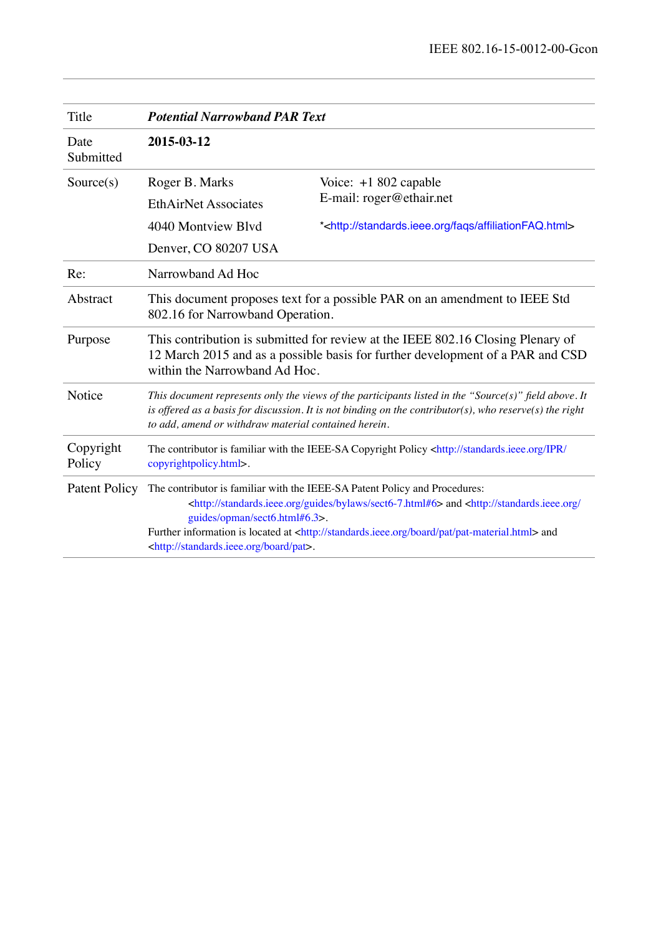| Title                | <b>Potential Narrowband PAR Text</b>                                                                                                                                                                                                                                                                                                                                                                                       |                                                                        |
|----------------------|----------------------------------------------------------------------------------------------------------------------------------------------------------------------------------------------------------------------------------------------------------------------------------------------------------------------------------------------------------------------------------------------------------------------------|------------------------------------------------------------------------|
| Date<br>Submitted    | 2015-03-12                                                                                                                                                                                                                                                                                                                                                                                                                 |                                                                        |
| Source(s)            | Roger B. Marks                                                                                                                                                                                                                                                                                                                                                                                                             | Voice: +1 802 capable<br>E-mail: roger@ethair.net                      |
|                      | <b>EthAirNet Associates</b>                                                                                                                                                                                                                                                                                                                                                                                                |                                                                        |
|                      | 4040 Montview Blvd                                                                                                                                                                                                                                                                                                                                                                                                         | * <http: affiliationfaq.html="" faqs="" standards.ieee.org=""></http:> |
|                      | Denver, CO 80207 USA                                                                                                                                                                                                                                                                                                                                                                                                       |                                                                        |
| Re:                  | Narrowband Ad Hoc                                                                                                                                                                                                                                                                                                                                                                                                          |                                                                        |
| Abstract             | This document proposes text for a possible PAR on an amendment to IEEE Std<br>802.16 for Narrowband Operation.                                                                                                                                                                                                                                                                                                             |                                                                        |
| Purpose              | This contribution is submitted for review at the IEEE 802.16 Closing Plenary of<br>12 March 2015 and as a possible basis for further development of a PAR and CSD<br>within the Narrowband Ad Hoc.                                                                                                                                                                                                                         |                                                                        |
| Notice               | This document represents only the views of the participants listed in the "Source(s)" field above. It<br>is offered as a basis for discussion. It is not binding on the contributor(s), who reserve(s) the right<br>to add, amend or withdraw material contained herein.                                                                                                                                                   |                                                                        |
| Copyright<br>Policy  | The contributor is familiar with the IEEE-SA Copyright Policy <http: <br="" ipr="" standards.ieee.org="">copyrightpolicy.html&gt;.</http:>                                                                                                                                                                                                                                                                                 |                                                                        |
| <b>Patent Policy</b> | The contributor is familiar with the IEEE-SA Patent Policy and Procedures:<br><http: bylaws="" guides="" sect6-7.html#6="" standards.ieee.org=""> and <http: <br="" standards.ieee.org="">guides/opman/sect6.html#6.3&gt;.<br/>Further information is located at <http: board="" pat="" pat-material.html="" standards.ieee.org=""> and<br/><http: board="" pat="" standards.ieee.org="">.</http:></http:></http:></http:> |                                                                        |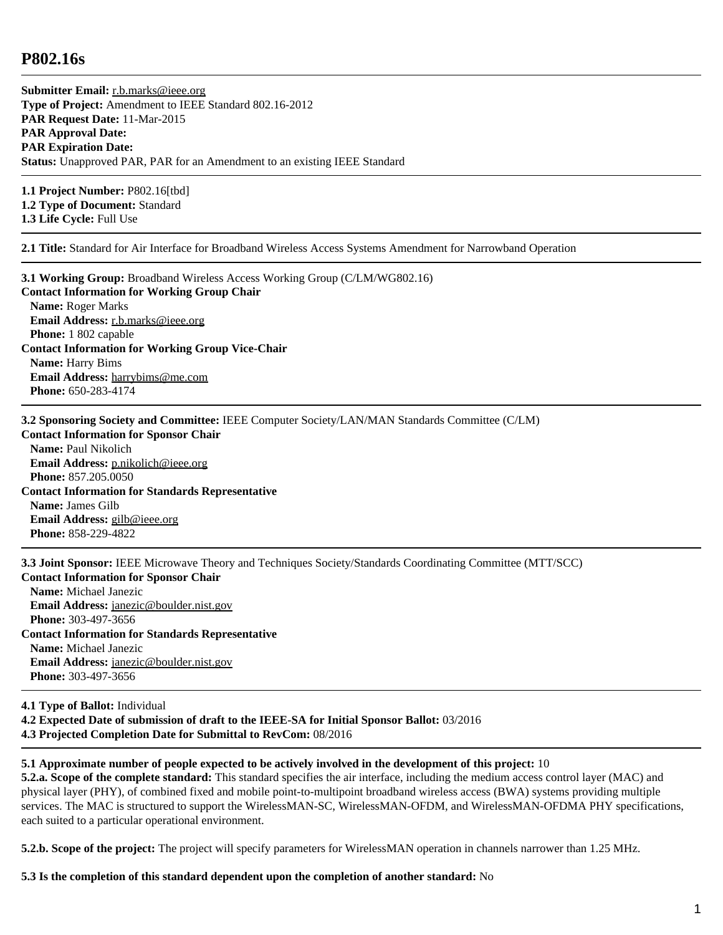## **P802.16s**

**Submitter Email:** [r.b.marks@ieee.org](mailto:r.b.marks%40ieee.org) **Type of Project:** Amendment to IEEE Standard 802.16-2012 **PAR Request Date:** 11-Mar-2015 **PAR Approval Date: PAR Expiration Date: Status:** Unapproved PAR, PAR for an Amendment to an existing IEEE Standard

**1.1 Project Number:** P802.16[tbd] **1.2 Type of Document:** Standard **1.3 Life Cycle:** Full Use

**2.1 Title:** Standard for Air Interface for Broadband Wireless Access Systems Amendment for Narrowband Operation

**3.1 Working Group:** Broadband Wireless Access Working Group (C/LM/WG802.16) **Contact Information for Working Group Chair Name:** Roger Marks **Email Address:** [r.b.marks@ieee.org](mailto:r.b.marks%40ieee.org) **Phone:** 1 802 capable **Contact Information for Working Group Vice-Chair Name:** Harry Bims **Email Address:** [harrybims@me.com](mailto:harrybims%40me.com) **Phone:** 650-283-4174

**3.2 Sponsoring Society and Committee:** IEEE Computer Society/LAN/MAN Standards Committee (C/LM)

**Contact Information for Sponsor Chair Name:** Paul Nikolich **Email Address:** [p.nikolich@ieee.org](mailto:p.nikolich%40ieee.org) **Phone:** 857.205.0050 **Contact Information for Standards Representative Name:** James Gilb **Email Address:** [gilb@ieee.org](mailto:gilb%40ieee.org) **Phone:** 858-229-4822

**3.3 Joint Sponsor:** IEEE Microwave Theory and Techniques Society/Standards Coordinating Committee (MTT/SCC) **Contact Information for Sponsor Chair Name:** Michael Janezic **Email Address:** [janezic@boulder.nist.gov](mailto:janezic%40boulder.nist.gov) **Phone:** 303-497-3656 **Contact Information for Standards Representative Name:** Michael Janezic **Email Address:** [janezic@boulder.nist.gov](mailto:janezic%40boulder.nist.gov) **Phone:** 303-497-3656 **4.1 Type of Ballot:** Individual

**4.2 Expected Date of submission of draft to the IEEE-SA for Initial Sponsor Ballot:** 03/2016 **4.3 Projected Completion Date for Submittal to RevCom:** 08/2016

**5.1 Approximate number of people expected to be actively involved in the development of this project:** 10

**5.2.a. Scope of the complete standard:** This standard specifies the air interface, including the medium access control layer (MAC) and physical layer (PHY), of combined fixed and mobile point-to-multipoint broadband wireless access (BWA) systems providing multiple services. The MAC is structured to support the WirelessMAN-SC, WirelessMAN-OFDM, and WirelessMAN-OFDMA PHY specifications, each suited to a particular operational environment.

**5.2.b. Scope of the project:** The project will specify parameters for WirelessMAN operation in channels narrower than 1.25 MHz.

## **5.3 Is the completion of this standard dependent upon the completion of another standard:** No